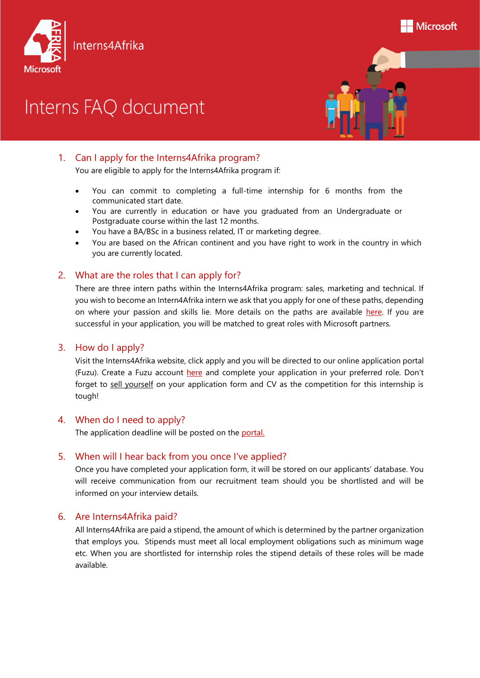

# Interns FAQ document



# 1. Can I apply for the Interns4Afrika program?

You are eligible to apply for the Interns4Afrika program if:

- You can commit to completing a full-time internship for 6 months from the communicated start date.
- You are currently in education or have you graduated from an Undergraduate or Postgraduate course within the last 12 months.
- You have a BA/BSc in a business related, IT or marketing degree.
- You are based on the African continent and you have right to work in the country in which you are currently located.

# 2. What are the roles that I can apply for?

There are three intern paths within the Interns4Afrika program: sales, marketing and technical. If you wish to become an Intern4Afrika intern we ask that you apply for one of these paths, depending on where your passion and skills lie. More details on the paths are available [here.](https://www.microsoft.com/africa/4afrika/interns4afrika/) If you are successful in your application, you will be matched to great roles with Microsoft partners.

## 3. How do I apply?

Visit the Interns4Afrika website, click apply and you will be directed to our online application portal (Fuzu). Create a Fuzu account [here](https://www.fuzu.com/company/microsoft) and complete your application in your preferred role. Don't forget to sell yourself on your application form and CV as the competition for this internship is tough!

## 4. When do I need to apply?

The application deadline will be posted on the [portal.](https://www.fuzu.com/company/microsoft)

## 5. When will I hear back from you once I've applied?

Once you have completed your application form, it will be stored on our applicants' database. You will receive communication from our recruitment team should you be shortlisted and will be informed on your interview details.

## 6. Are Interns4Afrika paid?

All Interns4Afrika are paid a stipend, the amount of which is determined by the partner organization that employs you. Stipends must meet all local employment obligations such as minimum wage etc. When you are shortlisted for internship roles the stipend details of these roles will be made available.